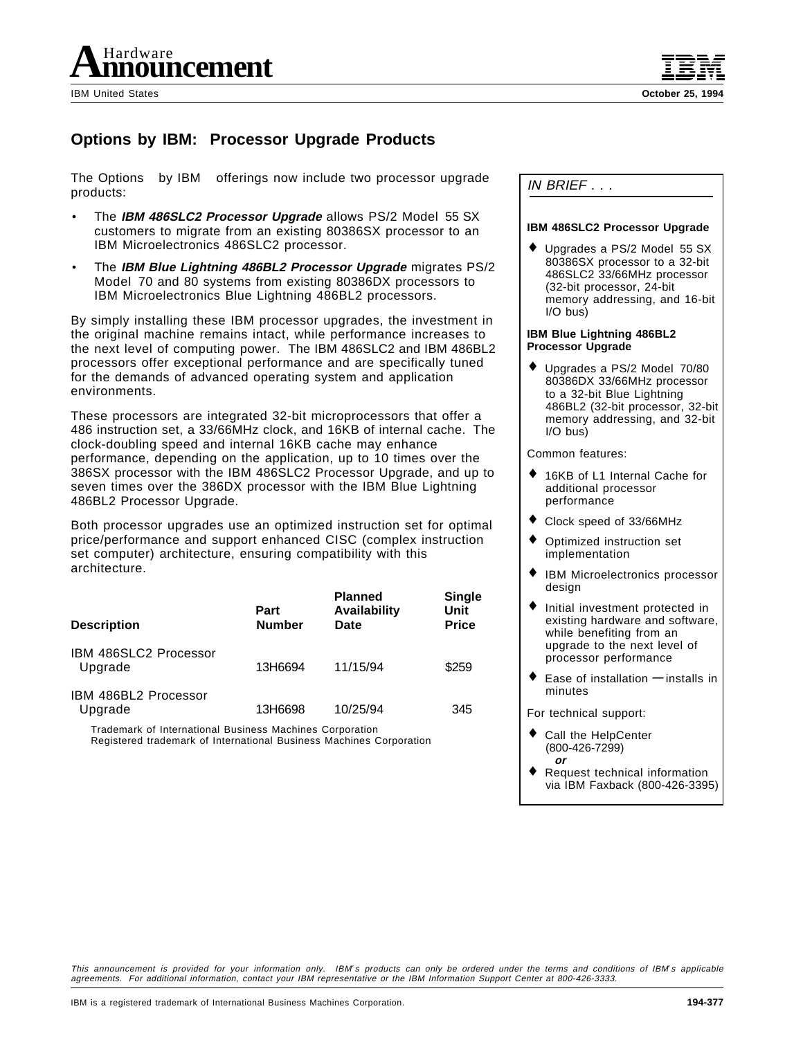

# **Options by IBM: Processor Upgrade Products**

The Options<sup>™</sup> by IBM® offerings now include two processor upgrade products:

- The **IBM 486SLC2 Processor Upgrade** allows PS/2 Model 55 SX customers to migrate from an existing 80386SX processor to an IBM Microelectronics 486SLC2 processor.
- The **IBM Blue Lightning 486BL2 Processor Upgrade** migrates PS/2 Model 70 and 80 systems from existing 80386DX processors to IBM Microelectronics Blue Lightning 486BL2 processors.

By simply installing these IBM processor upgrades, the investment in the original machine remains intact, while performance increases to the next level of computing power. The IBM 486SLC2 and IBM 486BL2 processors offer exceptional performance and are specifically tuned for the demands of advanced operating system and application environments.

These processors are integrated 32-bit microprocessors that offer a 486 instruction set, a 33/66MHz clock, and 16KB of internal cache. The clock-doubling speed and internal 16KB cache may enhance performance, depending on the application, up to 10 times over the 386SX processor with the IBM 486SLC2 Processor Upgrade, and up to seven times over the 386DX processor with the IBM Blue Lightning 486BL2 Processor Upgrade.

Both processor upgrades use an optimized instruction set for optimal price/performance and support enhanced CISC (complex instruction set computer) architecture, ensuring compatibility with this architecture.

| <b>Description</b>               | Part<br><b>Number</b> | <b>Planned</b><br>Availability<br>Date | <b>Single</b><br>Unit<br><b>Price</b> |
|----------------------------------|-----------------------|----------------------------------------|---------------------------------------|
| IBM 486SLC2 Processor<br>Upgrade | 13H6694               | 11/15/94                               | \$259                                 |
| IBM 486BL2 Processor<br>Upgrade  | 13H6698               | 10/25/94                               | 345                                   |

™ Trademark of International Business Machines Corporation

Registered trademark of International Business Machines Corporation

IN BRIEF . . .

## **IBM 486SLC2 Processor Upgrade**

Upgrades a PS/2 Model 55 SX 80386SX processor to a 32-bit 486SLC2 33/66MHz processor (32-bit processor, 24-bit memory addressing, and 16-bit I/O bus)

#### **IBM Blue Lightning 486BL2 Processor Upgrade**

♦ Upgrades a PS/2 Model 70/80 80386DX 33/66MHz processor to a 32-bit Blue Lightning 486BL2 (32-bit processor, 32-bit memory addressing, and 32-bit I/O bus)

Common features:

- 16KB of L1 Internal Cache for additional processor performance
- ♦ Clock speed of 33/66MHz
- Optimized instruction set implementation
- ♦ IBM Microelectronics processor design
- ♦ Initial investment protected in existing hardware and software, while benefiting from an upgrade to the next level of processor performance
- Ease of installation **—** installs in minutes

For technical support:

- ♦ Call the HelpCenter (800-426-7299) **or**
- Request technical information via IBM Faxback (800-426-3395)

This announcement is provided for your information only. IBM′s products can only be ordered under the terms and conditions of IBM′s applicable agreements. For additional information, contact your IBM representative or the IBM Information Support Center at 800-426-3333.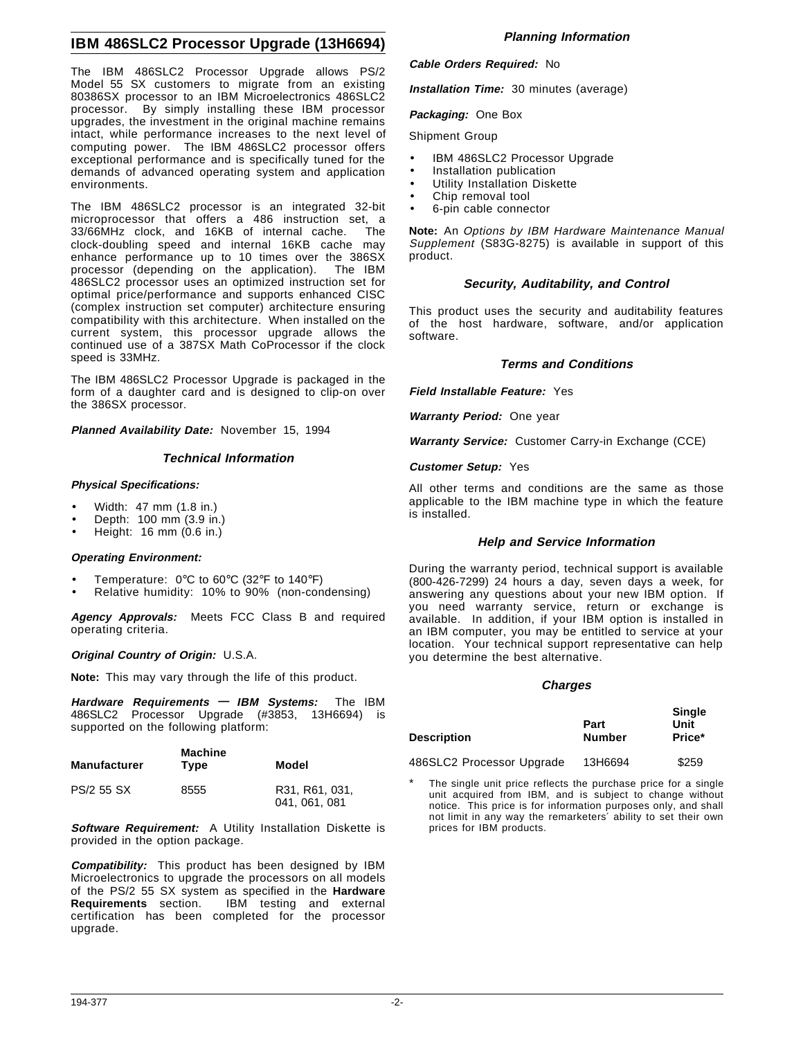## **IBM 486SLC2 Processor Upgrade (13H6694)**

The IBM 486SLC2 Processor Upgrade allows PS/2 Model 55 SX customers to migrate from an existing 80386SX processor to an IBM Microelectronics 486SLC2 processor. By simply installing these IBM processor upgrades, the investment in the original machine remains intact, while performance increases to the next level of computing power. The IBM 486SLC2 processor offers exceptional performance and is specifically tuned for the demands of advanced operating system and application environments.

The IBM 486SLC2 processor is an integrated 32-bit microprocessor that offers a 486 instruction set, a 33/66MHz clock, and 16KB of internal cache. The clock-doubling speed and internal 16KB cache may enhance performance up to 10 times over the 386SX processor (depending on the application). The IBM 486SLC2 processor uses an optimized instruction set for optimal price/performance and supports enhanced CISC (complex instruction set computer) architecture ensuring compatibility with this architecture. When installed on the current system, this processor upgrade allows the continued use of a 387SX Math CoProcessor if the clock speed is 33MHz.

The IBM 486SLC2 Processor Upgrade is packaged in the form of a daughter card and is designed to clip-on over the 386SX processor.

**Planned Availability Date:** November 15, 1994

## **Technical Information**

#### **Physical Specifications:**

- Width: 47 mm (1.8 in.)
- Depth: 100 mm (3.9 in.)
- Height: 16 mm (0.6 in.)

#### **Operating Environment:**

- Temperature: 0°C to 60°C (32°F to 140°F)
- Relative humidity: 10% to 90% (non-condensing)

**Agency Approvals:** Meets FCC Class B and required operating criteria.

#### **Original Country of Origin:** U.S.A.

**Note:** This may vary through the life of this product.

**Hardware Requirements — IBM Systems:** The IBM 486SLC2 Processor Upgrade (#3853, 13H6694) is supported on the following platform:

| <b>Manufacturer</b> | <b>Machine</b><br>Type | Model                           |
|---------------------|------------------------|---------------------------------|
| PS/2 55 SX          | 8555                   | R31, R61, 031,<br>041, 061, 081 |

**Software Requirement:** A Utility Installation Diskette is provided in the option package.

**Compatibility:** This product has been designed by IBM Microelectronics to upgrade the processors on all models of the PS/2 55 SX system as specified in the **Hardware Requirements** section. IBM testing and external certification has been completed for the processor upgrade.

## **Planning Information**

#### **Cable Orders Required:** No

**Installation Time:** 30 minutes (average)

## **Packaging:** One Box

#### Shipment Group

- IBM 486SLC2 Processor Upgrade
- Installation publication
	- Utility Installation Diskette
	- Chip removal tool
	- 6-pin cable connector

**Note:** An Options by IBM Hardware Maintenance Manual Supplement (S83G-8275) is available in support of this product.

## **Security, Auditability, and Control**

This product uses the security and auditability features of the host hardware, software, and/or application software.

## **Terms and Conditions**

**Field Installable Feature:** Yes

**Warranty Period:** One year

**Warranty Service:** Customer Carry-in Exchange (CCE)

**Customer Setup:** Yes

All other terms and conditions are the same as those applicable to the IBM machine type in which the feature is installed.

#### **Help and Service Information**

During the warranty period, technical support is available (800-426-7299) 24 hours a day, seven days a week, for answering any questions about your new IBM option. If you need warranty service, return or exchange is available. In addition, if your IBM option is installed in an IBM computer, you may be entitled to service at your location. Your technical support representative can help you determine the best alternative.

## **Charges**

| <b>Description</b>        | Part<br><b>Number</b> | <b>Single</b><br>Unit<br>Price* |
|---------------------------|-----------------------|---------------------------------|
| 486SLC2 Processor Upgrade | 13H6694               | \$259                           |

The single unit price reflects the purchase price for a single unit acquired from IBM, and is subject to change without notice. This price is for information purposes only, and shall not limit in any way the remarketers′ ability to set their own prices for IBM products.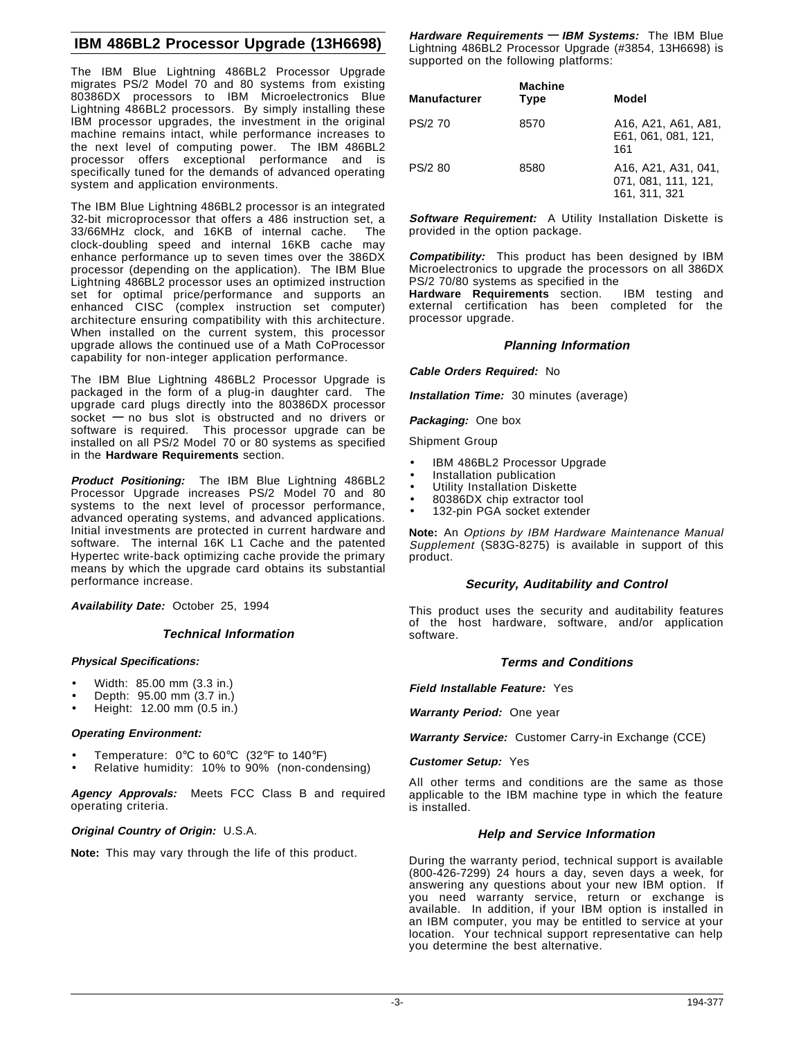## **IBM 486BL2 Processor Upgrade (13H6698)**

The IBM Blue Lightning 486BL2 Processor Upgrade migrates PS/2 Model 70 and 80 systems from existing 80386DX processors to IBM Microelectronics Blue Lightning 486BL2 processors. By simply installing these IBM processor upgrades, the investment in the original machine remains intact, while performance increases to the next level of computing power. The IBM 486BL2 processor offers exceptional performance and is specifically tuned for the demands of advanced operating system and application environments.

The IBM Blue Lightning 486BL2 processor is an integrated 32-bit microprocessor that offers a 486 instruction set, a 33/66MHz clock, and 16KB of internal cache. The clock-doubling speed and internal 16KB cache may enhance performance up to seven times over the 386DX processor (depending on the application). The IBM Blue Lightning 486BL2 processor uses an optimized instruction set for optimal price/performance and supports an enhanced CISC (complex instruction set computer) architecture ensuring compatibility with this architecture. When installed on the current system, this processor upgrade allows the continued use of a Math CoProcessor capability for non-integer application performance.

The IBM Blue Lightning 486BL2 Processor Upgrade is packaged in the form of a plug-in daughter card. The upgrade card plugs directly into the 80386DX processor socket **—** no bus slot is obstructed and no drivers or software is required. This processor upgrade can be installed on all PS/2 Model 70 or 80 systems as specified in the **Hardware Requirements** section.

**Product Positioning:** The IBM Blue Lightning 486BL2 Processor Upgrade increases PS/2 Model 70 and 80 systems to the next level of processor performance, advanced operating systems, and advanced applications. Initial investments are protected in current hardware and software. The internal 16K L1 Cache and the patented Hypertec write-back optimizing cache provide the primary means by which the upgrade card obtains its substantial performance increase.

**Availability Date:** October 25, 1994

## **Technical Information**

#### **Physical Specifications:**

- Width: 85.00 mm (3.3 in.)
- Depth: 95.00 mm (3.7 in.)
- Height: 12.00 mm (0.5 in.)

#### **Operating Environment:**

- Temperature: 0°C to 60°C (32°F to 140°F)
- Relative humidity: 10% to 90% (non-condensing)

**Agency Approvals:** Meets FCC Class B and required operating criteria.

#### **Original Country of Origin:** U.S.A.

**Note:** This may vary through the life of this product.

**Hardware Requirements — IBM Systems:** The IBM Blue Lightning 486BL2 Processor Upgrade (#3854, 13H6698) is supported on the following platforms:

| <b>Manufacturer</b> | <b>Machine</b><br>Type | Model                                                       |
|---------------------|------------------------|-------------------------------------------------------------|
| PS/2 70             | 8570                   | A16, A21, A61, A81,<br>E61, 061, 081, 121.<br>161           |
| PS/2 80             | 8580                   | A16, A21, A31, 041,<br>071, 081, 111, 121,<br>161, 311, 321 |

**Software Requirement:** A Utility Installation Diskette is provided in the option package.

**Compatibility:** This product has been designed by IBM Microelectronics to upgrade the processors on all 386DX PS/2 70/80 systems as specified in the

**Hardware Requirements** section. IBM testing and external certification has been completed for the processor upgrade.

## **Planning Information**

**Cable Orders Required:** No

**Installation Time:** 30 minutes (average)

**Packaging:** One box

Shipment Group

- IBM 486BL2 Processor Upgrade
- Installation publication
- Utility Installation Diskette
- 80386DX chip extractor tool
- 132-pin PGA socket extender

**Note:** An Options by IBM Hardware Maintenance Manual Supplement (S83G-8275) is available in support of this product.

#### **Security, Auditability and Control**

This product uses the security and auditability features of the host hardware, software, and/or application software.

#### **Terms and Conditions**

#### **Field Installable Feature:** Yes

**Warranty Period:** One year

**Warranty Service:** Customer Carry-in Exchange (CCE)

**Customer Setup:** Yes

All other terms and conditions are the same as those applicable to the IBM machine type in which the feature is installed.

#### **Help and Service Information**

During the warranty period, technical support is available (800-426-7299) 24 hours a day, seven days a week, for answering any questions about your new IBM option. If you need warranty service, return or exchange is available. In addition, if your IBM option is installed in an IBM computer, you may be entitled to service at your location. Your technical support representative can help you determine the best alternative.